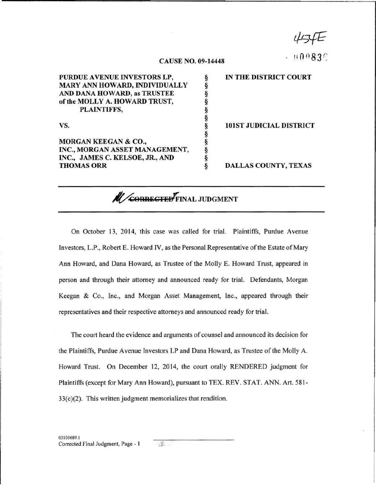454E

 $0083C$ 

## CAUSE NO. 09-14448

| PURDUE AVENUE INVESTORS LP,     | IN THE DISTRICT COURT          |
|---------------------------------|--------------------------------|
| MARY ANN HOWARD, INDIVIDUALLY   |                                |
| AND DANA HOWARD, as TRUSTEE     |                                |
| of the MOLLY A. HOWARD TRUST,   |                                |
| PLAINTIFFS,                     |                                |
|                                 |                                |
| VS.                             | <b>101ST JUDICIAL DISTRICT</b> |
|                                 |                                |
| MORGAN KEEGAN & CO.,            |                                |
| INC., MORGAN ASSET MANAGEMENT,  |                                |
| INC., JAMES C. KELSOE, JR., AND |                                |
| <b>THOMAS ORR</b>               | <b>DALLAS COUNTY, TEXAS</b>    |

**Al/CORRECTED** FINAL JUDGMENT

On October 13, 2014, this case was called for trial. Plaintiffs, Purdue Avenue Investors, L.P., Robert E. Howard IV, as the Personal Representative of the Estate of Mary Ann Howard, and Dana Howard, as Trustee of the Molly E. Howard Trust, appeared in person and through their attorney and announced ready for trial. Defendants, Morgan Keegan & Co., Inc., and Morgan Asset Management, Inc., appeared through their representatives and their respective attorneys and announced ready for trial.

The court heard the evidence and arguments of counsel and announced its decision for the Plaintiffs, Purdue Avenue Investors LP and Dana Howard, as Trustee of the Molly A. Howard Trust. On December 12, 2014, the court orally RENDERED judgment for Plaintiffs (except for Mary Ann Howard), pursuant to TEX. REV . STAT. ANN. Art. 581 - 33(c)(2). This written judgment memorializes that rendition.

 $\mathbb{E}$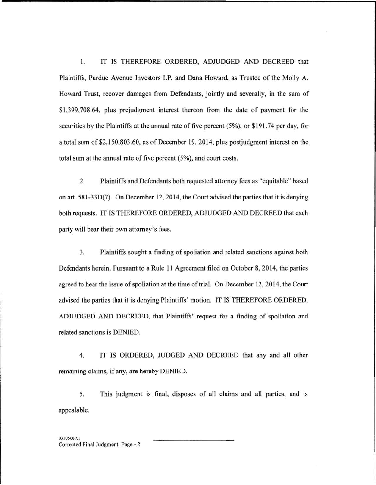I. IT IS THEREFORE ORDERED, ADJUDGED AND DECREED that Plaintiffs, Purdue Avenue Investors LP, and Dana Howard, as Trustee of the Molly A. Howard Trust, recover damages from Defendants, jointly and severally, in the sum of \$1 ,399,708.64, plus prejudgment interest thereon from the date of payment for the securities by the Plaintiffs at the annual rate of five percent (5%), or \$191.74 per day, for a total sum of \$2,150,803.60, as of December 19, 2014, plus postjudgment interest on the total sum at the annual rate of five percent  $(5\%)$ , and court costs.

2. Plaintiffs and Defendants both requested attorney fees as "equitable" based on art. 581 -330(7). On December 12, 2014, the Court advised the parties that it is denying both requests. IT IS THEREFORE ORDERED, ADJUDGED AND DECREED that each party will bear their own attorney's fees.

3. Plaintiffs sought a finding of spoliation and related sanctions against both Defendants herein. Pursuant to a Rule 11 Agreement filed on October 8, 2014, the parties agreed to hear the issue of spoliation at the time of trial. On December 12,2014, the Court advised the parties that it is denying Plaintiffs' motion. IT IS THEREFORE ORDERED, ADJUDGED AND DECREED, that Plaintiffs' request for a finding of spoliation and related sanctions is DENIED.

4. IT IS ORDERED, JUDGED AND DECREED that any and all other remaining claims, if any, are hereby DENIED.

5. This judgment is final, disposes of all claims and all parties, and is appealable.